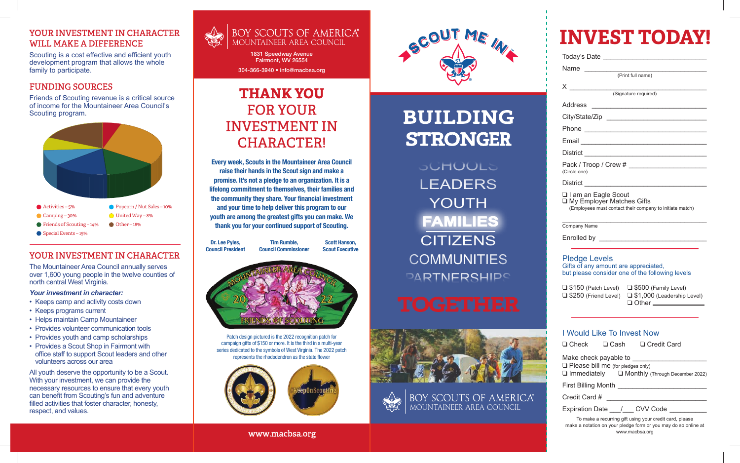#### YOUR INVESTMENT IN CHARACTER WILL MAKE A DIFFERENCE

Scouting is a cost effective and efficient youth development program that allows the whole family to participate.

#### FUNDING SOURCES

Friends of Scouting revenue is a critical source of income for the Mountaineer Area Council's Scouting program.



- Activities 5% Camping – 30%
	- United Way 8%
- $\bigcirc$  Other 18% Friends of Scouting – 14%
- Special Events 15%

### YOUR INVESTMENT IN CHARACTER

The Mountaineer Area Council annually serves over 1,600 young people in the twelve counties of north central West Virginia.

#### *Your investment in character:*

- Keeps camp and activity costs down
- Keeps programs current
- Helps maintain Camp Mountaineer
- Provides volunteer communication tools
- Provides youth and camp scholarships
- Provides a Scout Shop in Fairmont with office staff to support Scout leaders and other volunteers across our area

All youth deserve the opportunity to be a Scout. With your investment, we can provide the necessary resources to ensure that every youth can benefit from Scouting's fun and adventure filled activities that foster character, honesty, respect, and values.



1831 Speedway Avenue Fairmont, WV 26554 304-366-3940 • info@macbsa.org

**THANK YOU** 

FOR YOUR

INVESTMENT IN

CHARACTER!

Every week, Scouts in the Mountaineer Area Council raise their hands in the Scout sign and make a promise. It's not a pledge to an organization. It is a lifelong commitment to themselves, their families and the community they share. Your financial investment and your time to help deliver this program to our youth are among the greatest gifts you can make. We thank you for your continued support of Scouting.

> Tim Rumble, Council Commissioner

Patch design pictured is the 2022 recognition patch for campaign gifts of \$150 or more. It is the third in a multi-year series dedicated to the symbols of West Virginia. The 2022 patch represents the rhododendron as the state flower

Scott Hanson, Scout Executive

Dr. Lee Pyles, Council President



# BUILDING STRONGER

SCHOOLS LEADERS YOUTH **CITIZENS COMMUNITIES DARTNERSHIPS FAMILIES**



BOY SCOUTS OF AMERICA®<br>MOUNTAINEER AREA COUNCIL



# **INVEST TODAY!**

| Name (Print full name)                                                                                         |
|----------------------------------------------------------------------------------------------------------------|
|                                                                                                                |
| (Signature required)                                                                                           |
| Address                                                                                                        |
| City/State/Zip                                                                                                 |
|                                                                                                                |
|                                                                                                                |
|                                                                                                                |
| (Circle one)                                                                                                   |
|                                                                                                                |
| I am an Eagle Scout<br>□ My Employer Matches Gifts<br>(Employees must contact their company to initiate match) |
| Company Name                                                                                                   |
|                                                                                                                |
|                                                                                                                |

#### Pledge Levels Gifts of any amount are appreciated, but please consider one of the following levels

❑ \$150 (Patch Level) ❑ \$250 (Friend Level) ❑ \$500 (Family Level) ❑ \$1,000 (Leadership Level) ❑ Other

#### I Would Like To Invest Now

❑ Check ❑ Cash ❑ Credit Card

Make check payable to

❑ Please bill me (for pledges only) ❑ Immediately ❑ Monthly (Through December 2022)

First Billing Month \_\_\_\_\_\_\_\_\_\_\_\_\_\_\_\_\_\_\_\_\_\_\_\_

Credit Card # \_\_\_\_\_\_\_\_\_\_\_\_\_\_\_\_\_\_\_\_\_\_\_\_\_\_\_

Expiration Date / CVV Code

To make a recurring gift using your credit card, please make a notation on your pledge form or you may do so online at www.macbsa.org

www.macbsa.org